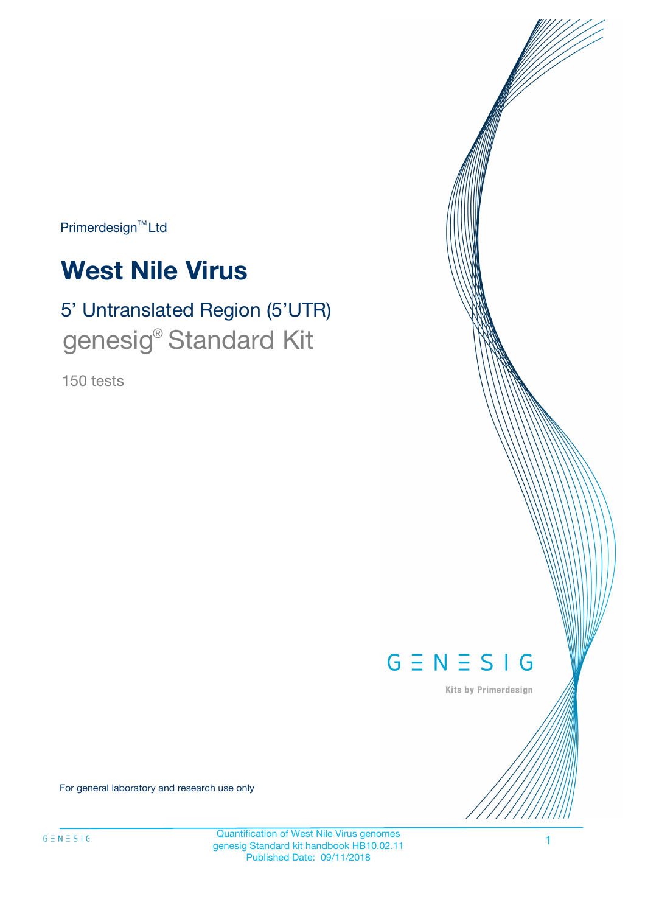Primerdesign<sup>™</sup>Ltd

# **West Nile Virus**

# 5' Untranslated Region (5'UTR) genesig® Standard Kit

150 tests



Kits by Primerdesign

For general laboratory and research use only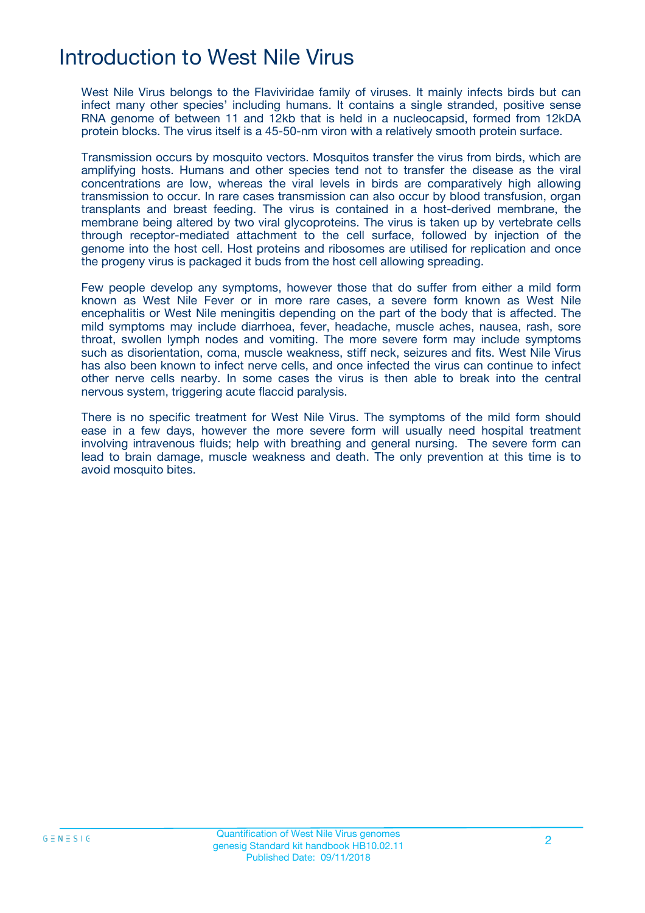## Introduction to West Nile Virus

West Nile Virus belongs to the Flaviviridae family of viruses. It mainly infects birds but can infect many other species' including humans. It contains a single stranded, positive sense RNA genome of between 11 and 12kb that is held in a nucleocapsid, formed from 12kDA protein blocks. The virus itself is a 45-50-nm viron with a relatively smooth protein surface.

Transmission occurs by mosquito vectors. Mosquitos transfer the virus from birds, which are amplifying hosts. Humans and other species tend not to transfer the disease as the viral concentrations are low, whereas the viral levels in birds are comparatively high allowing transmission to occur. In rare cases transmission can also occur by blood transfusion, organ transplants and breast feeding. The virus is contained in a host-derived membrane, the membrane being altered by two viral glycoproteins. The virus is taken up by vertebrate cells through receptor-mediated attachment to the cell surface, followed by injection of the genome into the host cell. Host proteins and ribosomes are utilised for replication and once the progeny virus is packaged it buds from the host cell allowing spreading.

Few people develop any symptoms, however those that do suffer from either a mild form known as West Nile Fever or in more rare cases, a severe form known as West Nile encephalitis or West Nile meningitis depending on the part of the body that is affected. The mild symptoms may include diarrhoea, fever, headache, muscle aches, nausea, rash, sore throat, swollen lymph nodes and vomiting. The more severe form may include symptoms such as disorientation, coma, muscle weakness, stiff neck, seizures and fits. West Nile Virus has also been known to infect nerve cells, and once infected the virus can continue to infect other nerve cells nearby. In some cases the virus is then able to break into the central nervous system, triggering acute flaccid paralysis.

There is no specific treatment for West Nile Virus. The symptoms of the mild form should ease in a few days, however the more severe form will usually need hospital treatment involving intravenous fluids; help with breathing and general nursing. The severe form can lead to brain damage, muscle weakness and death. The only prevention at this time is to avoid mosquito bites.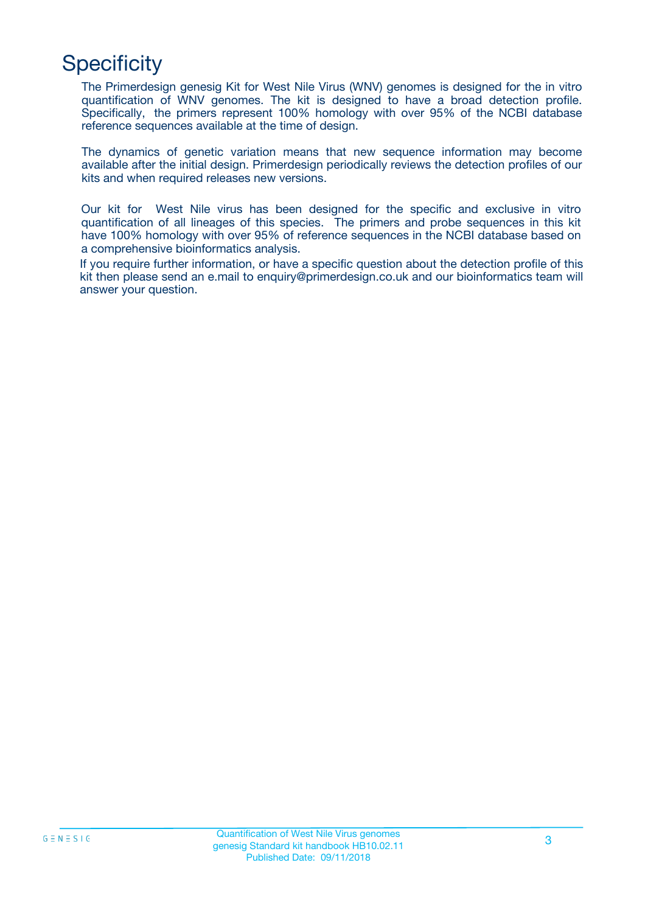## **Specificity**

The Primerdesign genesig Kit for West Nile Virus (WNV) genomes is designed for the in vitro quantification of WNV genomes. The kit is designed to have a broad detection profile. Specifically, the primers represent 100% homology with over 95% of the NCBI database reference sequences available at the time of design.

The dynamics of genetic variation means that new sequence information may become available after the initial design. Primerdesign periodically reviews the detection profiles of our kits and when required releases new versions.

Our kit for West Nile virus has been designed for the specific and exclusive in vitro quantification of all lineages of this species. The primers and probe sequences in this kit have 100% homology with over 95% of reference sequences in the NCBI database based on a comprehensive bioinformatics analysis.

If you require further information, or have a specific question about the detection profile of this kit then please send an e.mail to enquiry@primerdesign.co.uk and our bioinformatics team will answer your question.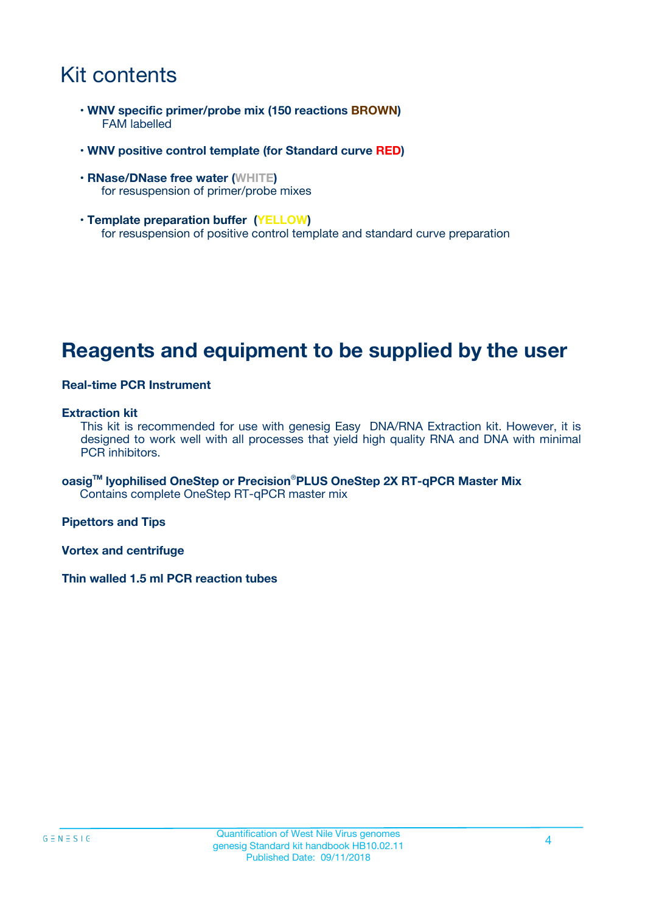## Kit contents

- **WNV specific primer/probe mix (150 reactions BROWN)** FAM labelled
- **WNV positive control template (for Standard curve RED)**
- **RNase/DNase free water (WHITE)** for resuspension of primer/probe mixes
- **Template preparation buffer (YELLOW)** for resuspension of positive control template and standard curve preparation

### **Reagents and equipment to be supplied by the user**

#### **Real-time PCR Instrument**

#### **Extraction kit**

This kit is recommended for use with genesig Easy DNA/RNA Extraction kit. However, it is designed to work well with all processes that yield high quality RNA and DNA with minimal PCR inhibitors.

**oasigTM lyophilised OneStep or Precision**®**PLUS OneStep 2X RT-qPCR Master Mix** Contains complete OneStep RT-qPCR master mix

**Pipettors and Tips**

**Vortex and centrifuge**

**Thin walled 1.5 ml PCR reaction tubes**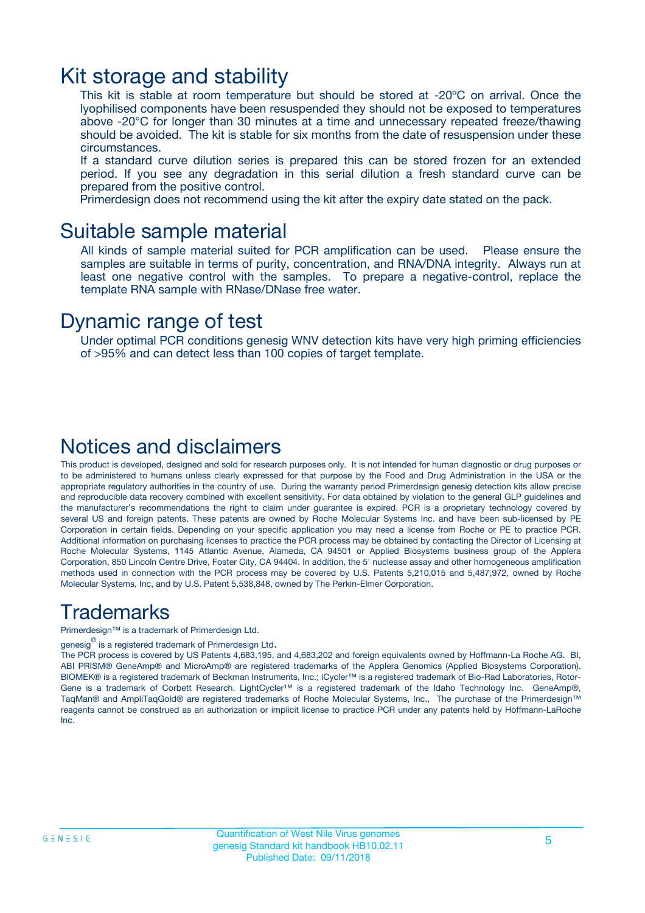### Kit storage and stability

This kit is stable at room temperature but should be stored at -20ºC on arrival. Once the lyophilised components have been resuspended they should not be exposed to temperatures above -20°C for longer than 30 minutes at a time and unnecessary repeated freeze/thawing should be avoided. The kit is stable for six months from the date of resuspension under these circumstances.

If a standard curve dilution series is prepared this can be stored frozen for an extended period. If you see any degradation in this serial dilution a fresh standard curve can be prepared from the positive control.

Primerdesign does not recommend using the kit after the expiry date stated on the pack.

### Suitable sample material

All kinds of sample material suited for PCR amplification can be used. Please ensure the samples are suitable in terms of purity, concentration, and RNA/DNA integrity. Always run at least one negative control with the samples. To prepare a negative-control, replace the template RNA sample with RNase/DNase free water.

### Dynamic range of test

Under optimal PCR conditions genesig WNV detection kits have very high priming efficiencies of >95% and can detect less than 100 copies of target template.

### Notices and disclaimers

This product is developed, designed and sold for research purposes only. It is not intended for human diagnostic or drug purposes or to be administered to humans unless clearly expressed for that purpose by the Food and Drug Administration in the USA or the appropriate regulatory authorities in the country of use. During the warranty period Primerdesign genesig detection kits allow precise and reproducible data recovery combined with excellent sensitivity. For data obtained by violation to the general GLP guidelines and the manufacturer's recommendations the right to claim under guarantee is expired. PCR is a proprietary technology covered by several US and foreign patents. These patents are owned by Roche Molecular Systems Inc. and have been sub-licensed by PE Corporation in certain fields. Depending on your specific application you may need a license from Roche or PE to practice PCR. Additional information on purchasing licenses to practice the PCR process may be obtained by contacting the Director of Licensing at Roche Molecular Systems, 1145 Atlantic Avenue, Alameda, CA 94501 or Applied Biosystems business group of the Applera Corporation, 850 Lincoln Centre Drive, Foster City, CA 94404. In addition, the 5' nuclease assay and other homogeneous amplification methods used in connection with the PCR process may be covered by U.S. Patents 5,210,015 and 5,487,972, owned by Roche Molecular Systems, Inc, and by U.S. Patent 5,538,848, owned by The Perkin-Elmer Corporation.

### Trademarks

Primerdesign™ is a trademark of Primerdesign Ltd.

genesig $^\circledR$  is a registered trademark of Primerdesign Ltd.

The PCR process is covered by US Patents 4,683,195, and 4,683,202 and foreign equivalents owned by Hoffmann-La Roche AG. BI, ABI PRISM® GeneAmp® and MicroAmp® are registered trademarks of the Applera Genomics (Applied Biosystems Corporation). BIOMEK® is a registered trademark of Beckman Instruments, Inc.; iCycler™ is a registered trademark of Bio-Rad Laboratories, Rotor-Gene is a trademark of Corbett Research. LightCycler™ is a registered trademark of the Idaho Technology Inc. GeneAmp®, TaqMan® and AmpliTaqGold® are registered trademarks of Roche Molecular Systems, Inc., The purchase of the Primerdesign™ reagents cannot be construed as an authorization or implicit license to practice PCR under any patents held by Hoffmann-LaRoche Inc.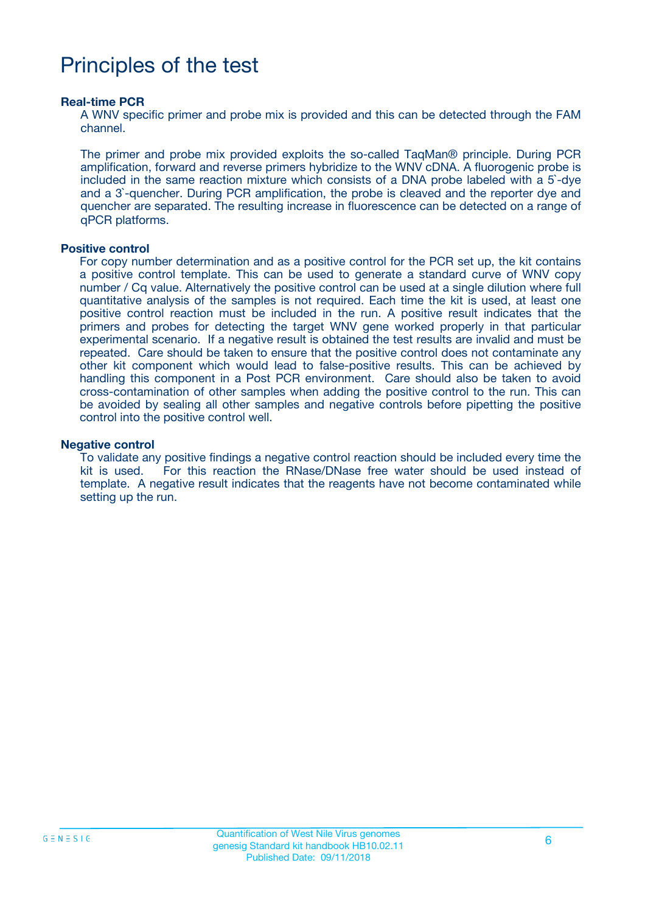## Principles of the test

#### **Real-time PCR**

A WNV specific primer and probe mix is provided and this can be detected through the FAM channel.

The primer and probe mix provided exploits the so-called TaqMan® principle. During PCR amplification, forward and reverse primers hybridize to the WNV cDNA. A fluorogenic probe is included in the same reaction mixture which consists of a DNA probe labeled with a 5`-dye and a 3`-quencher. During PCR amplification, the probe is cleaved and the reporter dye and quencher are separated. The resulting increase in fluorescence can be detected on a range of qPCR platforms.

#### **Positive control**

For copy number determination and as a positive control for the PCR set up, the kit contains a positive control template. This can be used to generate a standard curve of WNV copy number / Cq value. Alternatively the positive control can be used at a single dilution where full quantitative analysis of the samples is not required. Each time the kit is used, at least one positive control reaction must be included in the run. A positive result indicates that the primers and probes for detecting the target WNV gene worked properly in that particular experimental scenario. If a negative result is obtained the test results are invalid and must be repeated. Care should be taken to ensure that the positive control does not contaminate any other kit component which would lead to false-positive results. This can be achieved by handling this component in a Post PCR environment. Care should also be taken to avoid cross-contamination of other samples when adding the positive control to the run. This can be avoided by sealing all other samples and negative controls before pipetting the positive control into the positive control well.

#### **Negative control**

To validate any positive findings a negative control reaction should be included every time the kit is used. For this reaction the RNase/DNase free water should be used instead of template. A negative result indicates that the reagents have not become contaminated while setting up the run.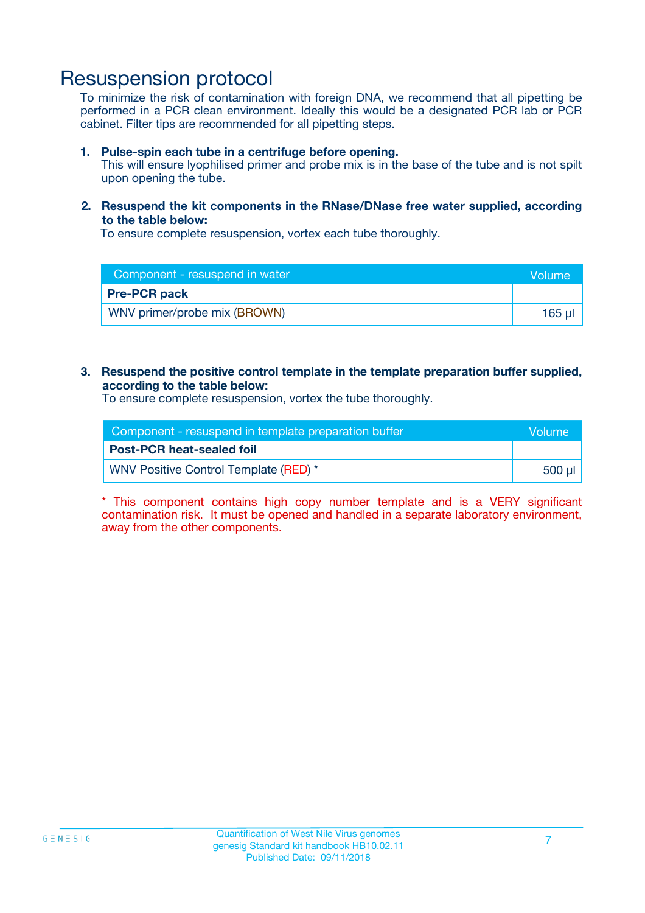### Resuspension protocol

To minimize the risk of contamination with foreign DNA, we recommend that all pipetting be performed in a PCR clean environment. Ideally this would be a designated PCR lab or PCR cabinet. Filter tips are recommended for all pipetting steps.

#### **1. Pulse-spin each tube in a centrifuge before opening.**

This will ensure lyophilised primer and probe mix is in the base of the tube and is not spilt upon opening the tube.

#### **2. Resuspend the kit components in the RNase/DNase free water supplied, according to the table below:**

To ensure complete resuspension, vortex each tube thoroughly.

| Component - resuspend in water |             |
|--------------------------------|-------------|
| <b>Pre-PCR pack</b>            |             |
| WNV primer/probe mix (BROWN)   | $165$ $\mu$ |

#### **3. Resuspend the positive control template in the template preparation buffer supplied, according to the table below:**

To ensure complete resuspension, vortex the tube thoroughly.

| Component - resuspend in template preparation buffer |        |
|------------------------------------------------------|--------|
| <b>Post-PCR heat-sealed foil</b>                     |        |
| WNV Positive Control Template (RED) *                | 500 µl |

\* This component contains high copy number template and is a VERY significant contamination risk. It must be opened and handled in a separate laboratory environment, away from the other components.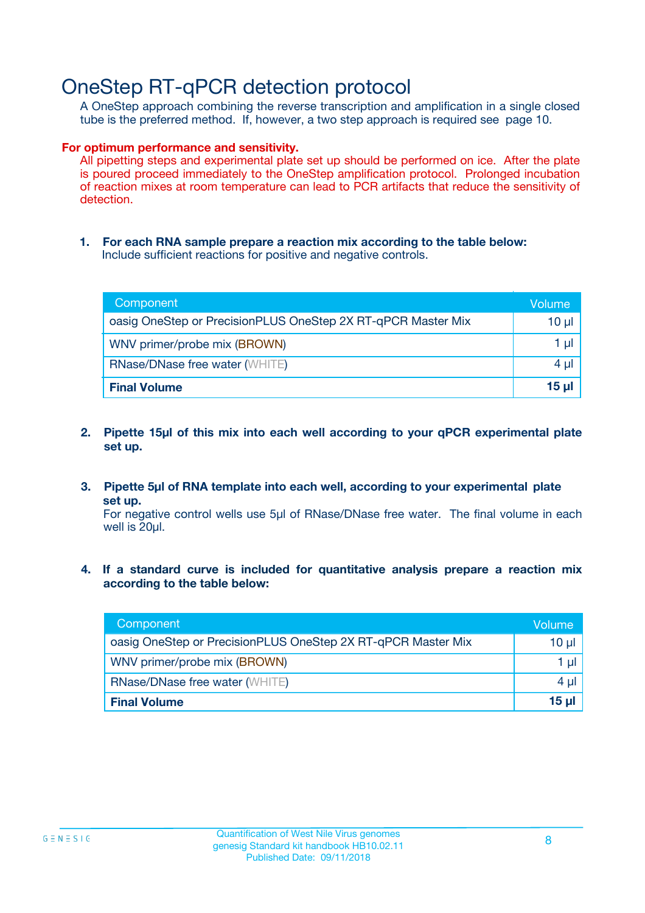### OneStep RT-qPCR detection protocol

A OneStep approach combining the reverse transcription and amplification in a single closed tube is the preferred method. If, however, a two step approach is required see page 10.

#### **For optimum performance and sensitivity.**

All pipetting steps and experimental plate set up should be performed on ice. After the plate is poured proceed immediately to the OneStep amplification protocol. Prolonged incubation of reaction mixes at room temperature can lead to PCR artifacts that reduce the sensitivity of detection.

**1. For each RNA sample prepare a reaction mix according to the table below:** Include sufficient reactions for positive and negative controls.

| Component                                                    | Volumer      |
|--------------------------------------------------------------|--------------|
| oasig OneStep or PrecisionPLUS OneStep 2X RT-qPCR Master Mix | 10 µl        |
| WNV primer/probe mix (BROWN)                                 | 1 µI         |
| <b>RNase/DNase free water (WHITE)</b>                        | 4 µl         |
| <b>Final Volume</b>                                          | <u>15 µl</u> |

- **2. Pipette 15µl of this mix into each well according to your qPCR experimental plate set up.**
- **3. Pipette 5µl of RNA template into each well, according to your experimental plate set up.**

For negative control wells use 5µl of RNase/DNase free water. The final volume in each well is 20ul.

**4. If a standard curve is included for quantitative analysis prepare a reaction mix according to the table below:**

| Component                                                    | Volume |
|--------------------------------------------------------------|--------|
| oasig OneStep or PrecisionPLUS OneStep 2X RT-qPCR Master Mix | 10 µl  |
| WNV primer/probe mix (BROWN)                                 | 1 µl   |
| <b>RNase/DNase free water (WHITE)</b>                        | 4 µl   |
| <b>Final Volume</b>                                          | 15 µl  |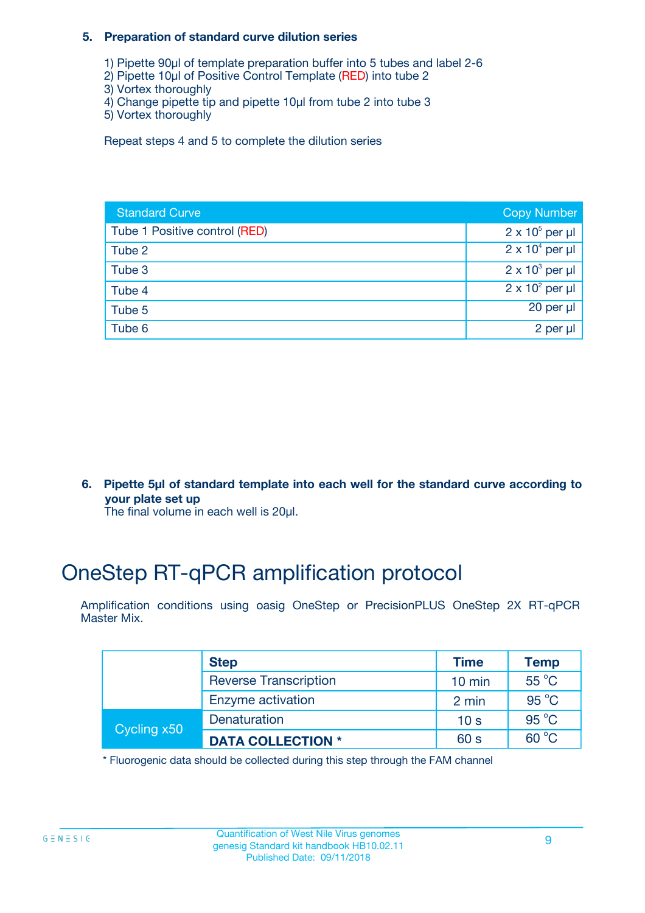#### **5. Preparation of standard curve dilution series**

- 1) Pipette 90µl of template preparation buffer into 5 tubes and label 2-6
- 2) Pipette 10µl of Positive Control Template (RED) into tube 2
- 3) Vortex thoroughly
- 4) Change pipette tip and pipette 10µl from tube 2 into tube 3
- 5) Vortex thoroughly

Repeat steps 4 and 5 to complete the dilution series

| <b>Standard Curve</b>         | <b>Copy Number</b>     |
|-------------------------------|------------------------|
| Tube 1 Positive control (RED) | $2 \times 10^5$ per µl |
| Tube 2                        | $2 \times 10^4$ per µl |
| Tube 3                        | $2 \times 10^3$ per µl |
| Tube 4                        | $2 \times 10^2$ per µl |
| Tube 5                        | 20 per $\mu$           |
| Tube 6                        | 2 per µl               |

**6. Pipette 5µl of standard template into each well for the standard curve according to your plate set up**

The final volume in each well is 20ul.

## OneStep RT-qPCR amplification protocol

Amplification conditions using oasig OneStep or PrecisionPLUS OneStep 2X RT-qPCR Master Mix.

|             | <b>Step</b>                  | <b>Time</b>      | <b>Temp</b>    |
|-------------|------------------------------|------------------|----------------|
|             | <b>Reverse Transcription</b> | $10 \text{ min}$ | $55^{\circ}$ C |
|             | Enzyme activation            | 2 min            | $95^{\circ}$ C |
| Cycling x50 | Denaturation                 | 10 <sub>s</sub>  | $95^{\circ}$ C |
|             | <b>DATA COLLECTION *</b>     | 60 s             | $60^{\circ}$ C |

\* Fluorogenic data should be collected during this step through the FAM channel